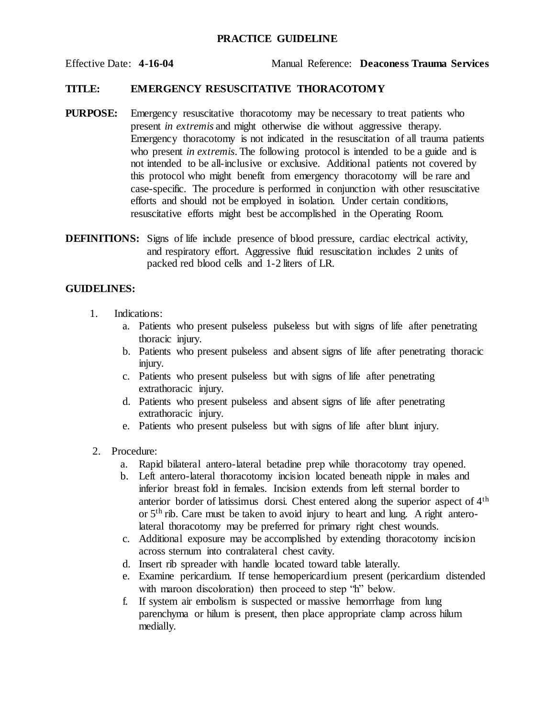## **PRACTICE GUIDELINE**

Effective Date: **4-16-04** Manual Reference: **Deaconess Trauma Services**

## **TITLE: EMERGENCY RESUSCITATIVE THORACOTOMY**

- **PURPOSE:** Emergency resuscitative thoracotomy may be necessary to treat patients who present *in extremis* and might otherwise die without aggressive therapy. Emergency thoracotomy is not indicated in the resuscitation of all trauma patients who present *in extremis*. The following protocol is intended to be a guide and is not intended to be all-inclusive or exclusive. Additional patients not covered by this protocol who might benefit from emergency thoracotomy will be rare and case-specific. The procedure is performed in conjunction with other resuscitative efforts and should not be employed in isolation. Under certain conditions, resuscitative efforts might best be accomplished in the Operating Room.
- **DEFINITIONS:** Signs of life include presence of blood pressure, cardiac electrical activity, and respiratory effort. Aggressive fluid resuscitation includes 2 units of packed red blood cells and 1-2 liters of LR.

## **GUIDELINES:**

- 1. Indications:
	- a. Patients who present pulseless pulseless but with signs of life after penetrating thoracic injury.
	- b. Patients who present pulseless and absent signs of life after penetrating thoracic injury.
	- c. Patients who present pulseless but with signs of life after penetrating extrathoracic injury.
	- d. Patients who present pulseless and absent signs of life after penetrating extrathoracic injury.
	- e. Patients who present pulseless but with signs of life after blunt injury.
- 2. Procedure:
	- a. Rapid bilateral antero-lateral betadine prep while thoracotomy tray opened.
	- b. Left antero-lateral thoracotomy incision located beneath nipple in males and inferior breast fold in females. Incision extends from left sternal border to anterior border of latissimus dorsi. Chest entered along the superior aspect of 4th or 5th rib. Care must be taken to avoid injury to heart and lung. A right anterolateral thoracotomy may be preferred for primary right chest wounds.
	- c. Additional exposure may be accomplished by extending thoracotomy incision across sternum into contralateral chest cavity.
	- d. Insert rib spreader with handle located toward table laterally.
	- e. Examine pericardium. If tense hemopericardium present (pericardium distended with maroon discoloration) then proceed to step 'h' below.
	- f. If system air embolism is suspected or massive hemorrhage from lung parenchyma or hilum is present, then place appropriate clamp across hilum medially.